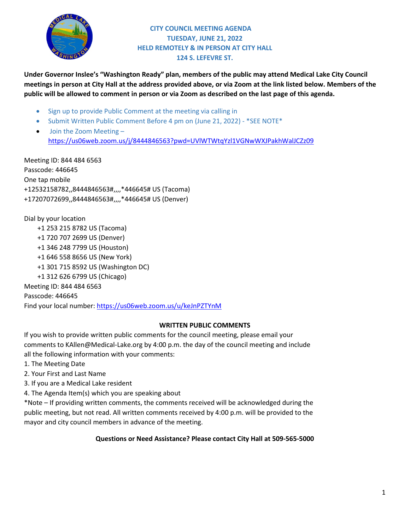

#### **CITY COUNCIL MEETING AGENDA TUESDAY, JUNE 21, 2022 HELD REMOTELY & IN PERSON AT CITY HALL 124 S. LEFEVRE ST.**

**Under Governor Inslee's "Washington Ready" plan, members of the public may attend Medical Lake City Council meetings in person at City Hall at the address provided above, or via Zoom at the link listed below. Members of the public will be allowed to comment in person or via Zoom as described on the last page of this agenda.**

- Sign up to provide Public Comment at the meeting via calling in
- Submit Written Public Comment Before 4 pm on (June 21, 2022) \*SEE NOTE\*
- [Join the Zoom Meeting –](https://us06web.zoom.us/j/81427343136?pwd=UC85WkdKVitlc2Z2MkI3bFp0dUMxQT09) <https://us06web.zoom.us/j/8444846563?pwd=UVlWTWtqYzl1VGNwWXJPakhWalJCZz09>

Meeting ID: 844 484 6563 Passcode: 446645 One tap mobile +12532158782,,8444846563#,,,,\*446645# US (Tacoma) +17207072699,,8444846563#,,,,\*446645# US (Denver)

Dial by your location +1 253 215 8782 US (Tacoma) +1 720 707 2699 US (Denver) +1 346 248 7799 US (Houston) +1 646 558 8656 US (New York) +1 301 715 8592 US (Washington DC) +1 312 626 6799 US (Chicago) Meeting ID: 844 484 6563 Passcode: 446645

#### Find your local number[: https://us06web.zoom.us/u/keJnPZTYnM](https://us06web.zoom.us/u/keJnPZTYnM)

#### **WRITTEN PUBLIC COMMENTS**

If you wish to provide written public comments for the council meeting, please email your comments to KAllen@Medical-Lake.org by 4:00 p.m. the day of the council meeting and include all the following information with your comments:

- 1. The Meeting Date
- 2. Your First and Last Name
- 3. If you are a Medical Lake resident
- 4. The Agenda Item(s) which you are speaking about

\*Note – If providing written comments, the comments received will be acknowledged during the public meeting, but not read. All written comments received by 4:00 p.m. will be provided to the mayor and city council members in advance of the meeting.

#### **Questions or Need Assistance? Please contact City Hall at 509-565-5000**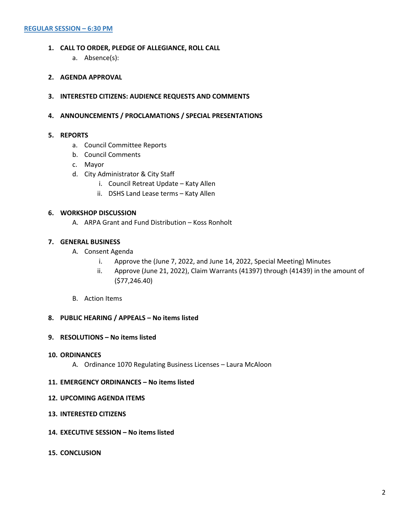- **1. CALL TO ORDER, PLEDGE OF ALLEGIANCE, ROLL CALL**
	- a. Absence(s):
- **2. AGENDA APPROVAL**
- **3. INTERESTED CITIZENS: AUDIENCE REQUESTS AND COMMENTS**
- **4. ANNOUNCEMENTS / PROCLAMATIONS / SPECIAL PRESENTATIONS**

#### **5. REPORTS**

- a. Council Committee Reports
- b. Council Comments
- c. Mayor
- d. City Administrator & City Staff
	- i. Council Retreat Update Katy Allen
	- ii. DSHS Land Lease terms Katy Allen

#### **6. WORKSHOP DISCUSSION**

A. ARPA Grant and Fund Distribution – Koss Ronholt

#### **7. GENERAL BUSINESS**

- A. Consent Agenda
	- i. Approve the (June 7, 2022, and June 14, 2022, Special Meeting) Minutes
	- ii. Approve (June 21, 2022), Claim Warrants (41397) through (41439) in the amount of (\$77,246.40)
- B. Action Items

#### **8. PUBLIC HEARING / APPEALS – No items listed**

#### **9. RESOLUTIONS – No items listed**

#### **10. ORDINANCES**

A. Ordinance 1070 Regulating Business Licenses – Laura McAloon

#### **11. EMERGENCY ORDINANCES – No items listed**

#### **12. UPCOMING AGENDA ITEMS**

- **13. INTERESTED CITIZENS**
- **14. EXECUTIVE SESSION – No items listed**
- **15. CONCLUSION**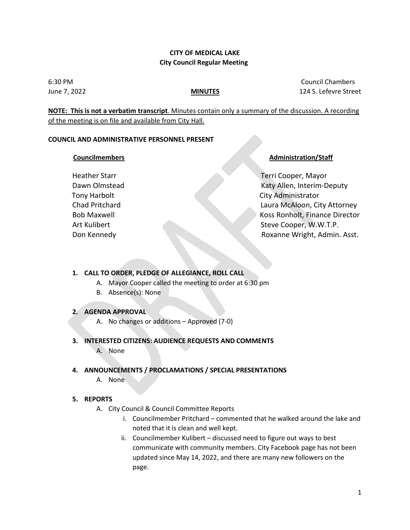#### **CITY OF MEDICAL LAKE City Council Regular Meeting**

6:30 PM Council Chambers June 7, 2022 **MINUTES** 124 S. Lefevre Street

**NOTE: This is not a verbatim transcript**. Minutes contain only a summary of the discussion. A recording of the meeting is on file and available from City Hall.

#### **COUNCIL AND ADMINISTRATIVE PERSONNEL PRESENT**

#### *Councilmembers* **Administration/Staff**

Heather Starr Terri Cooper, Mayor Dawn Olmstead Katy Allen, Interim-Deputy Tony Harbolt **City Administrator** Chad Pritchard Laura McAloon, City Attorney Bob Maxwell Koss Ronholt, Finance Director Art Kulibert Steve Cooper, W.W.T.P. Don Kennedy Roxanne Wright, Admin. Asst.

#### **1. CALL TO ORDER, PLEDGE OF ALLEGIANCE, ROLL CALL**

- A. Mayor Cooper called the meeting to order at 6:30 pm
- B. Absence(s): None

#### **2. AGENDA APPROVAL**

A. No changes or additions – Approved (7-0)

#### **3. INTERESTED CITIZENS: AUDIENCE REQUESTS AND COMMENTS** A. None

#### **4. ANNOUNCEMENTS / PROCLAMATIONS / SPECIAL PRESENTATIONS**

A. None

#### **5. REPORTS**

- A. City Council & Council Committee Reports
	- i. Councilmember Pritchard commented that he walked around the lake and noted that it is clean and well kept.
	- ii. Councilmember Kulibert discussed need to figure out ways to best communicate with community members. City Facebook page has not been updated since May 14, 2022, and there are many new followers on the page.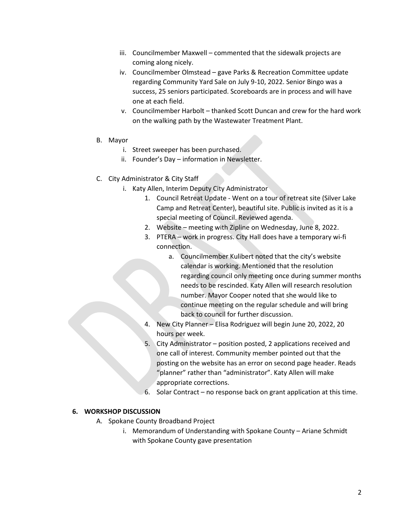- iii. Councilmember Maxwell commented that the sidewalk projects are coming along nicely.
- iv. Councilmember Olmstead gave Parks & Recreation Committee update regarding Community Yard Sale on July 9-10, 2022. Senior Bingo was a success, 25 seniors participated. Scoreboards are in process and will have one at each field.
- v. Councilmember Harbolt thanked Scott Duncan and crew for the hard work on the walking path by the Wastewater Treatment Plant.
- B. Mayor
	- i. Street sweeper has been purchased.
	- ii. Founder's Day information in Newsletter.
- C. City Administrator & City Staff
	- i. Katy Allen, Interim Deputy City Administrator
		- 1. Council Retreat Update Went on a tour of retreat site (Silver Lake Camp and Retreat Center), beautiful site. Public is invited as it is a special meeting of Council. Reviewed agenda.
		- 2. Website meeting with Zipline on Wednesday, June 8, 2022.
		- 3. PTERA work in progress. City Hall does have a temporary wi-fi connection.
			- a. Councilmember Kulibert noted that the city's website calendar is working. Mentioned that the resolution regarding council only meeting once during summer months needs to be rescinded. Katy Allen will research resolution number. Mayor Cooper noted that she would like to continue meeting on the regular schedule and will bring back to council for further discussion.
		- 4. New City Planner Elisa Rodriguez will begin June 20, 2022, 20 hours per week.
		- 5. City Administrator position posted, 2 applications received and one call of interest. Community member pointed out that the posting on the website has an error on second page header. Reads "planner" rather than "administrator". Katy Allen will make appropriate corrections.
		- 6. Solar Contract no response back on grant application at this time.

#### **6. WORKSHOP DISCUSSION**

- A. Spokane County Broadband Project
	- i. Memorandum of Understanding with Spokane County Ariane Schmidt with Spokane County gave presentation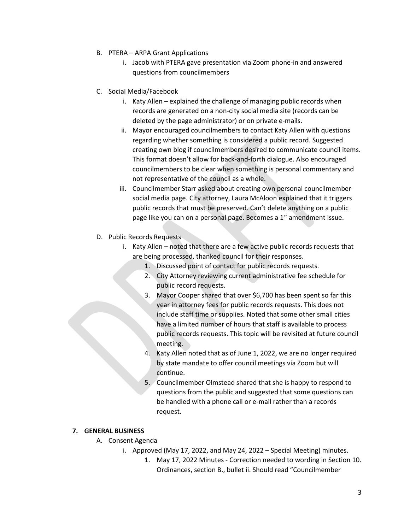- B. PTERA ARPA Grant Applications
	- i. Jacob with PTERA gave presentation via Zoom phone-in and answered questions from councilmembers
- C. Social Media/Facebook
	- i. Katy Allen explained the challenge of managing public records when records are generated on a non-city social media site (records can be deleted by the page administrator) or on private e-mails.
	- ii. Mayor encouraged councilmembers to contact Katy Allen with questions regarding whether something is considered a public record. Suggested creating own blog if councilmembers desired to communicate council items. This format doesn't allow for back-and-forth dialogue. Also encouraged councilmembers to be clear when something is personal commentary and not representative of the council as a whole.
	- iii. Councilmember Starr asked about creating own personal councilmember social media page. City attorney, Laura McAloon explained that it triggers public records that must be preserved. Can't delete anything on a public page like you can on a personal page. Becomes a 1<sup>st</sup> amendment issue.
- D. Public Records Requests
	- i. Katy Allen noted that there are a few active public records requests that are being processed, thanked council for their responses.
		- 1. Discussed point of contact for public records requests.
		- 2. City Attorney reviewing current administrative fee schedule for public record requests.
		- 3. Mayor Cooper shared that over \$6,700 has been spent so far this year in attorney fees for public records requests. This does not include staff time or supplies. Noted that some other small cities have a limited number of hours that staff is available to process public records requests. This topic will be revisited at future council meeting.
		- 4. Katy Allen noted that as of June 1, 2022, we are no longer required by state mandate to offer council meetings via Zoom but will continue.
		- 5. Councilmember Olmstead shared that she is happy to respond to questions from the public and suggested that some questions can be handled with a phone call or e-mail rather than a records request.

#### **7. GENERAL BUSINESS**

- A. Consent Agenda
	- i. Approved (May 17, 2022, and May 24, 2022 Special Meeting) minutes.
		- 1. May 17, 2022 Minutes Correction needed to wording in Section 10. Ordinances, section B., bullet ii. Should read "Councilmember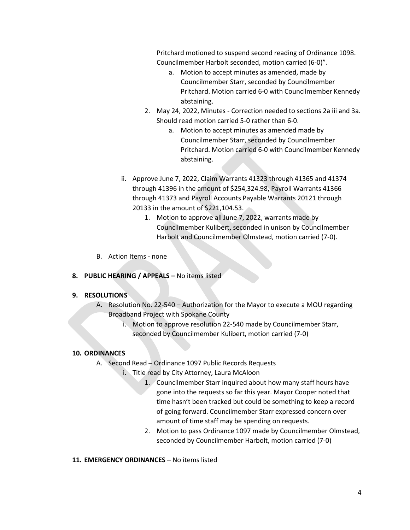Pritchard motioned to suspend second reading of Ordinance 1098. Councilmember Harbolt seconded, motion carried (6-0)".

- a. Motion to accept minutes as amended, made by Councilmember Starr, seconded by Councilmember Pritchard. Motion carried 6-0 with Councilmember Kennedy abstaining.
- 2. May 24, 2022, Minutes Correction needed to sections 2a iii and 3a. Should read motion carried 5-0 rather than 6-0.
	- a. Motion to accept minutes as amended made by Councilmember Starr, seconded by Councilmember Pritchard. Motion carried 6-0 with Councilmember Kennedy abstaining.
- ii. Approve June 7, 2022, Claim Warrants 41323 through 41365 and 41374 through 41396 in the amount of \$254,324.98, Payroll Warrants 41366 through 41373 and Payroll Accounts Payable Warrants 20121 through 20133 in the amount of \$221,104.53.
	- 1. Motion to approve all June 7, 2022, warrants made by Councilmember Kulibert, seconded in unison by Councilmember Harbolt and Councilmember Olmstead, motion carried (7-0).
- B. Action Items none
- **8. PUBLIC HEARING / APPEALS –** No items listed

#### **9. RESOLUTIONS**

- A. Resolution No. 22-540 Authorization for the Mayor to execute a MOU regarding Broadband Project with Spokane County
	- i. Motion to approve resolution 22-540 made by Councilmember Starr, seconded by Councilmember Kulibert, motion carried (7-0)

#### **10. ORDINANCES**

- A. Second Read Ordinance 1097 Public Records Requests
	- i. Title read by City Attorney, Laura McAloon
		- 1. Councilmember Starr inquired about how many staff hours have gone into the requests so far this year. Mayor Cooper noted that time hasn't been tracked but could be something to keep a record of going forward. Councilmember Starr expressed concern over amount of time staff may be spending on requests.
		- 2. Motion to pass Ordinance 1097 made by Councilmember Olmstead, seconded by Councilmember Harbolt, motion carried (7-0)
- **11. EMERGENCY ORDINANCES –** No items listed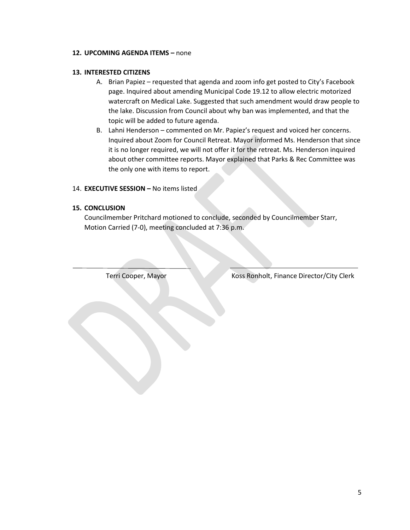#### **12. UPCOMING AGENDA ITEMS –** none

#### **13. INTERESTED CITIZENS**

- A. Brian Papiez requested that agenda and zoom info get posted to City's Facebook page. Inquired about amending Municipal Code 19.12 to allow electric motorized watercraft on Medical Lake. Suggested that such amendment would draw people to the lake. Discussion from Council about why ban was implemented, and that the topic will be added to future agenda.
- B. Lahni Henderson commented on Mr. Papiez's request and voiced her concerns. Inquired about Zoom for Council Retreat. Mayor informed Ms. Henderson that since it is no longer required, we will not offer it for the retreat. Ms. Henderson inquired about other committee reports. Mayor explained that Parks & Rec Committee was the only one with items to report.

#### 14. **EXECUTIVE SESSION –** No items listed

#### **15. CONCLUSION**

 $\overline{a}$ 

Councilmember Pritchard motioned to conclude, seconded by Councilmember Starr, Motion Carried (7-0), meeting concluded at 7:36 p.m.

Terri Cooper, Mayor Koss Ronholt, Finance Director/City Clerk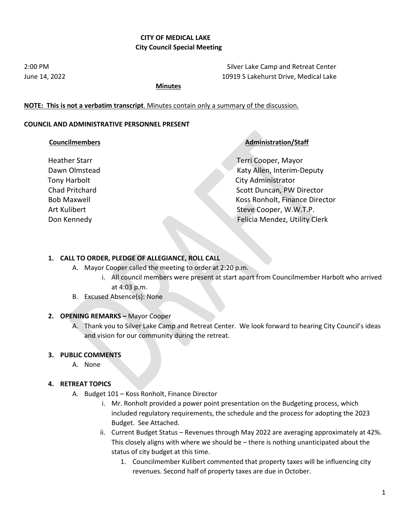#### **CITY OF MEDICAL LAKE City Council Special Meeting**

2:00 PM Silver Lake Camp and Retreat Center June 14, 2022 10919 S Lakehurst Drive, Medical Lake

#### **Minutes**

#### **NOTE: This is not a verbatim transcript**. Minutes contain only a summary of the discussion.

#### **COUNCIL AND ADMINISTRATIVE PERSONNEL PRESENT**

#### **Councilmembers Councilmembers Administration/Staff**

Heather Starr Terri Cooper, Mayor Dawn Olmstead Katy Allen, Interim-Deputy Tony Harbolt **City Administrator** Chad Pritchard **Scott Duncan, PW Director** Scott Duncan, PW Director Bob Maxwell Koss Ronholt, Finance Director Art Kulibert Steve Cooper, W.W.T.P. Don Kennedy Felicia Mendez, Utility Clerk

#### **1. CALL TO ORDER, PLEDGE OF ALLEGIANCE, ROLL CALL**

- A. Mayor Cooper called the meeting to order at 2:20 p.m.
	- i. All council members were present at start apart from Councilmember Harbolt who arrived at 4:03 p.m.
- B. Excused Absence(s): None

#### **2. OPENING REMARKS –** Mayor Cooper

A. Thank you to Silver Lake Camp and Retreat Center. We look forward to hearing City Council's ideas and vision for our community during the retreat.

#### **3. PUBLIC COMMENTS**

A. None

#### **4. RETREAT TOPICS**

- A. Budget 101 Koss Ronholt, Finance Director
	- i. Mr. Ronholt provided a power point presentation on the Budgeting process, which included regulatory requirements, the schedule and the process for adopting the 2023 Budget. See Attached.
	- ii. Current Budget Status Revenues through May 2022 are averaging approximately at 42%. This closely aligns with where we should be – there is nothing unanticipated about the status of city budget at this time.
		- 1. Councilmember Kulibert commented that property taxes will be influencing city revenues. Second half of property taxes are due in October.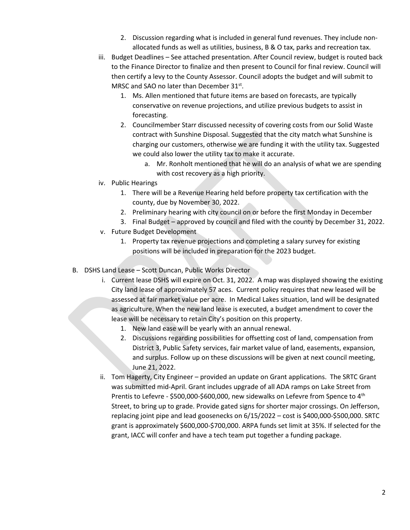- 2. Discussion regarding what is included in general fund revenues. They include nonallocated funds as well as utilities, business, B & O tax, parks and recreation tax.
- iii. Budget Deadlines See attached presentation. After Council review, budget is routed back to the Finance Director to finalize and then present to Council for final review. Council will then certify a levy to the County Assessor. Council adopts the budget and will submit to MRSC and SAO no later than December 31st.
	- 1. Ms. Allen mentioned that future items are based on forecasts, are typically conservative on revenue projections, and utilize previous budgets to assist in forecasting.
	- 2. Councilmember Starr discussed necessity of covering costs from our Solid Waste contract with Sunshine Disposal. Suggested that the city match what Sunshine is charging our customers, otherwise we are funding it with the utility tax. Suggested we could also lower the utility tax to make it accurate.
		- a. Mr. Ronholt mentioned that he will do an analysis of what we are spending with cost recovery as a high priority.
- iv. Public Hearings
	- 1. There will be a Revenue Hearing held before property tax certification with the county, due by November 30, 2022.
	- 2. Preliminary hearing with city council on or before the first Monday in December
	- 3. Final Budget approved by council and filed with the county by December 31, 2022.
- v. Future Budget Development
	- 1. Property tax revenue projections and completing a salary survey for existing positions will be included in preparation for the 2023 budget.
- B. DSHS Land Lease Scott Duncan, Public Works Director
	- i. Current lease DSHS will expire on Oct. 31, 2022. A map was displayed showing the existing City land lease of approximately 57 aces. Current policy requires that new leased will be assessed at fair market value per acre. In Medical Lakes situation, land will be designated as agriculture. When the new land lease is executed, a budget amendment to cover the lease will be necessary to retain City's position on this property.
		- 1. New land ease will be yearly with an annual renewal.
		- 2. Discussions regarding possibilities for offsetting cost of land, compensation from District 3, Public Safety services, fair market value of land, easements, expansion, and surplus. Follow up on these discussions will be given at next council meeting, June 21, 2022.
	- ii. Tom Hagerty, City Engineer provided an update on Grant applications. The SRTC Grant was submitted mid-April. Grant includes upgrade of all ADA ramps on Lake Street from Prentis to Lefevre - \$500,000-\$600,000, new sidewalks on Lefevre from Spence to 4<sup>th</sup> Street, to bring up to grade. Provide gated signs for shorter major crossings. On Jefferson, replacing joint pipe and lead goosenecks on 6/15/2022 – cost is \$400,000-\$500,000. SRTC grant is approximately \$600,000-\$700,000. ARPA funds set limit at 35%. If selected for the grant, IACC will confer and have a tech team put together a funding package.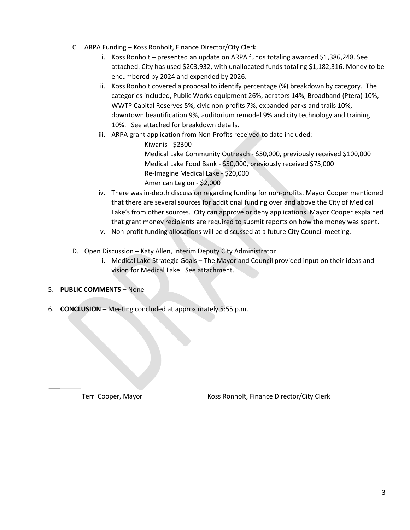- C. ARPA Funding Koss Ronholt, Finance Director/City Clerk
	- i. Koss Ronholt presented an update on ARPA funds totaling awarded \$1,386,248. See attached. City has used \$203,932, with unallocated funds totaling \$1,182,316. Money to be encumbered by 2024 and expended by 2026.
	- ii. Koss Ronholt covered a proposal to identify percentage (%) breakdown by category. The categories included, Public Works equipment 26%, aerators 14%, Broadband (Ptera) 10%, WWTP Capital Reserves 5%, civic non-profits 7%, expanded parks and trails 10%, downtown beautification 9%, auditorium remodel 9% and city technology and training 10%. See attached for breakdown details.
	- iii. ARPA grant application from Non-Profits received to date included:

Kiwanis - \$2300 Medical Lake Community Outreach - \$50,000, previously received \$100,000 Medical Lake Food Bank - \$50,000, previously received \$75,000 Re-Imagine Medical Lake - \$20,000 American Legion - \$2,000

- iv. There was in-depth discussion regarding funding for non-profits. Mayor Cooper mentioned that there are several sources for additional funding over and above the City of Medical Lake's from other sources. City can approve or deny applications. Mayor Cooper explained that grant money recipients are required to submit reports on how the money was spent.
- v. Non-profit funding allocations will be discussed at a future City Council meeting.
- D. Open Discussion Katy Allen, Interim Deputy City Administrator
	- i. Medical Lake Strategic Goals The Mayor and Council provided input on their ideas and vision for Medical Lake. See attachment.

#### 5. **PUBLIC COMMENTS –** None

6. **CONCLUSION** – Meeting concluded at approximately 5:55 p.m.

 $\overline{a}$ 

Terri Cooper, Mayor Koss Ronholt, Finance Director/City Clerk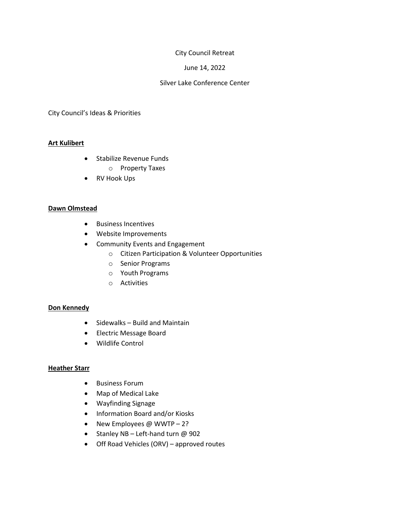#### City Council Retreat

#### June 14, 2022

#### Silver Lake Conference Center

City Council's Ideas & Priorities

#### **Art Kulibert**

- Stabilize Revenue Funds
	- o Property Taxes
- RV Hook Ups

#### **Dawn Olmstead**

- Business Incentives
- Website Improvements
- Community Events and Engagement
	- o Citizen Participation & Volunteer Opportunities
	- o Senior Programs
	- o Youth Programs
	- o Activities

#### **Don Kennedy**

- Sidewalks Build and Maintain
- Electric Message Board
- Wildlife Control

#### **Heather Starr**

- Business Forum
- Map of Medical Lake
- Wayfinding Signage
- Information Board and/or Kiosks
- New Employees @ WWTP 2?
- Stanley NB Left-hand turn @ 902
- Off Road Vehicles (ORV) approved routes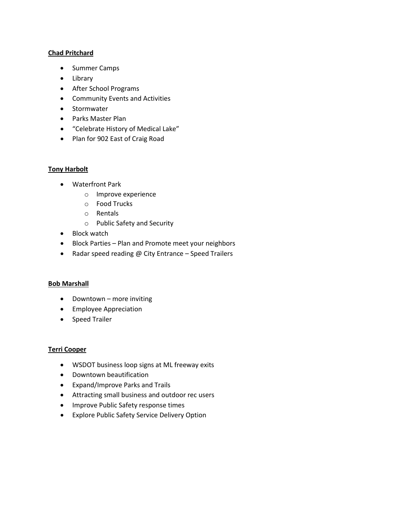#### **Chad Pritchard**

- Summer Camps
- Library
- After School Programs
- Community Events and Activities
- Stormwater
- Parks Master Plan
- "Celebrate History of Medical Lake"
- Plan for 902 East of Craig Road

#### **Tony Harbolt**

- Waterfront Park
	- o Improve experience
	- o Food Trucks
	- o Rentals
	- o Public Safety and Security
- Block watch
- Block Parties Plan and Promote meet your neighbors
- Radar speed reading @ City Entrance Speed Trailers

#### **Bob Marshall**

- Downtown more inviting
- Employee Appreciation
- Speed Trailer

#### **Terri Cooper**

- WSDOT business loop signs at ML freeway exits
- Downtown beautification
- Expand/Improve Parks and Trails
- Attracting small business and outdoor rec users
- Improve Public Safety response times
- Explore Public Safety Service Delivery Option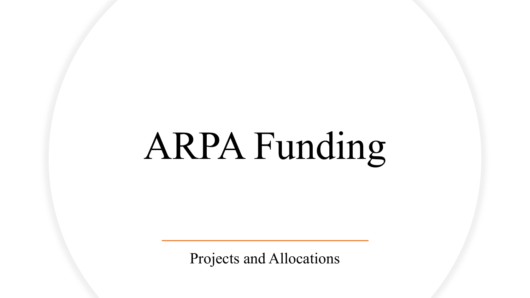# ARPA Funding

Projects and Allocations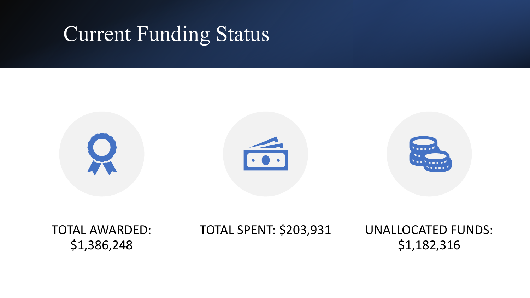### Current Funding Status



TOTAL AWARDED: \$1,386,248

TOTAL SPENT: \$203,931 UNALLOCATED FUNDS:

\$1,182,316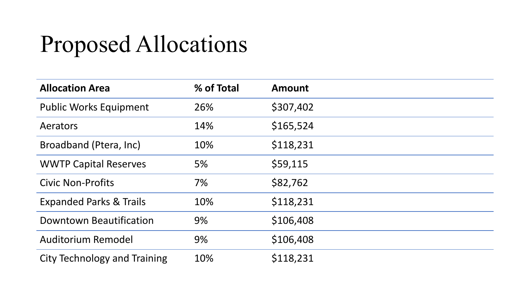# Proposed Allocations

| <b>Allocation Area</b>              | % of Total | <b>Amount</b> |
|-------------------------------------|------------|---------------|
| <b>Public Works Equipment</b>       | 26%        | \$307,402     |
| Aerators                            | 14%        | \$165,524     |
| Broadband (Ptera, Inc)              | 10%        | \$118,231     |
| <b>WWTP Capital Reserves</b>        | 5%         | \$59,115      |
| <b>Civic Non-Profits</b>            | 7%         | \$82,762      |
| <b>Expanded Parks &amp; Trails</b>  | 10%        | \$118,231     |
| <b>Downtown Beautification</b>      | 9%         | \$106,408     |
| Auditorium Remodel                  | 9%         | \$106,408     |
| <b>City Technology and Training</b> | 10%        | \$118,231     |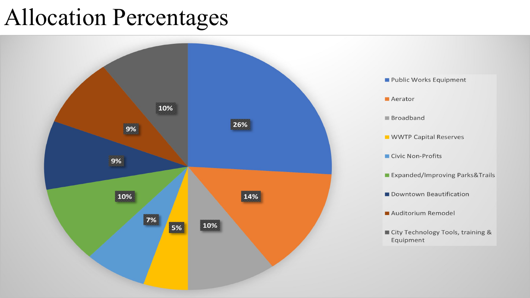## Allocation Percentages

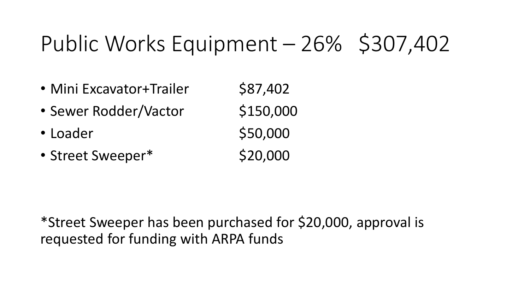# Public Works Equipment – 26% \$307,402

- Mini Excavator+Trailer \$87,402
- Sewer Rodder/Vactor \$150,000
- $\cdot$  Loader  $\sim$  \$50,000
- Street Sweeper\* \$20,000

\*Street Sweeper has been purchased for \$20,000, approval is requested for funding with ARPA funds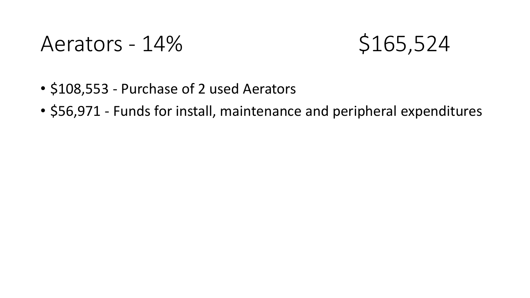### Aerators - 14% \$165,524



- \$108,553 Purchase of 2 used Aerators
- \$56,971 Funds for install, maintenance and peripheral expenditures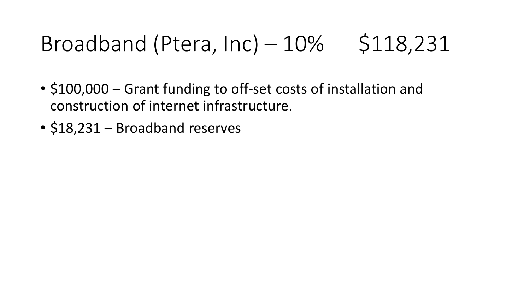# Broadband (Ptera,  $Inc$ ) –  $10\%$  \$118,231

- \$100,000 Grant funding to off-set costs of installation and construction of internet infrastructure.
- \$18,231 Broadband reserves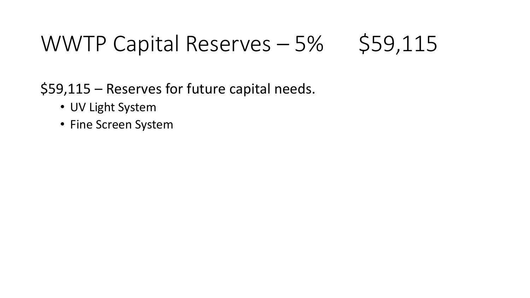# WWTP Capital Reserves  $-5\%$  \$59,115

\$59,115 – Reserves for future capital needs.

- UV Light System
- Fine Screen System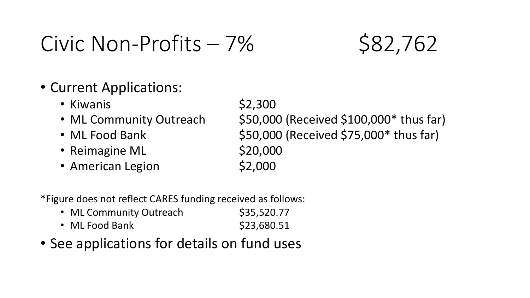### $Civic Non-Profits - 7% S82,762$

### • Current Applications:

- Kiwanis  $$2,300$
- 
- 
- Reimagine ML \$20,000
- American Legion \$2,000

• ML Community Outreach \$50,000 (Received \$100,000\* thus far) • ML Food Bank \$50,000 (Received \$75,000\* thus far)

\*Figure does not reflect CARES funding received as follows:

- ML Community Outreach \$35,520.77 • ML Food Bank  $$23,680.51$
- See applications for details on fund uses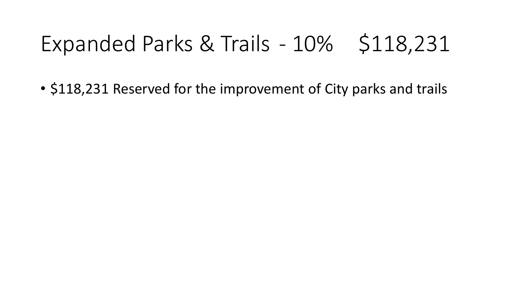# Expanded Parks & Trails - 10% \$118,231

• \$118,231 Reserved for the improvement of City parks and trails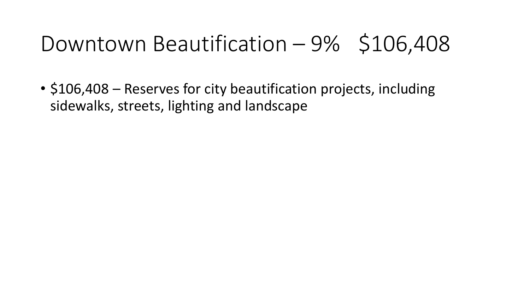## Downtown Beautification  $-9\%$  \$106,408

• \$106,408 – Reserves for city beautification projects, including sidewalks, streets, lighting and landscape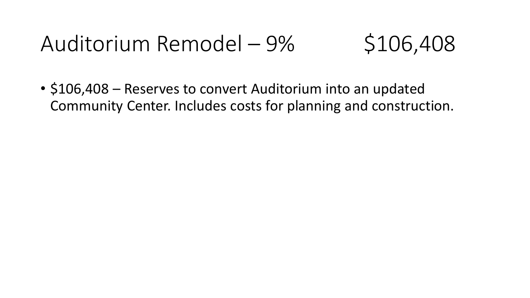# Auditorium Remodel – 9% \$106,408

• \$106,408 – Reserves to convert Auditorium into an updated Community Center. Includes costs for planning and construction.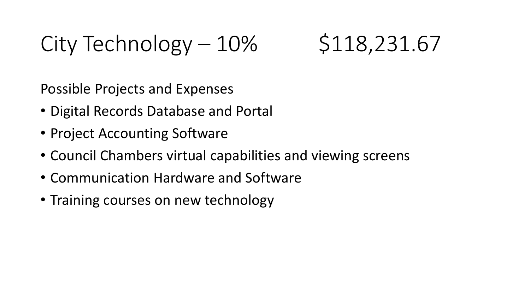City Technology  $-10\%$  \$118,231.67

Possible Projects and Expenses

- Digital Records Database and Portal
- Project Accounting Software
- Council Chambers virtual capabilities and viewing screens
- Communication Hardware and Software
- Training courses on new technology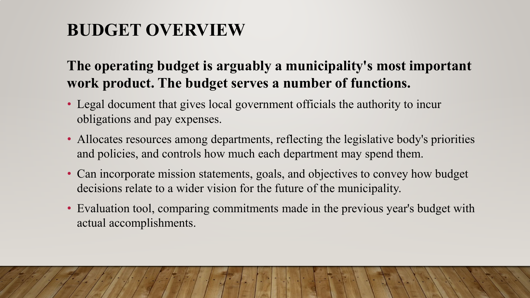### **BUDGET OVERVIEW**

### **The operating budget is arguably a municipality's most important work product. The budget serves a number of functions.**

- Legal document that gives local government officials the authority to incur obligations and pay expenses.
- Allocates resources among departments, reflecting the legislative body's priorities and policies, and controls how much each department may spend them.
- Can incorporate mission statements, goals, and objectives to convey how budget decisions relate to a wider vision for the future of the municipality.
- Evaluation tool, comparing commitments made in the previous year's budget with actual accomplishments.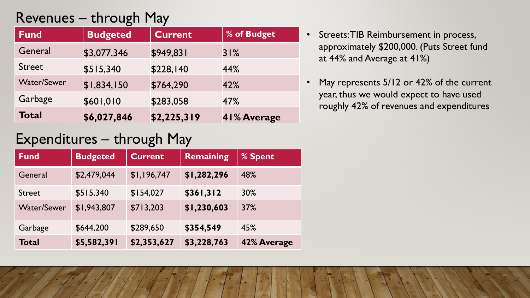### Revenues – through May

| <b>Fund</b>        | <b>Budgeted</b> | <b>Current</b> | % of Budget |
|--------------------|-----------------|----------------|-------------|
| General            | \$3,077,346     | \$949,831      | 31%         |
| <b>Street</b>      | \$515,340       | \$228,140      | 44%         |
| <b>Water/Sewer</b> | \$1,834,150     | \$764,290      | 42%         |
| Garbage            | \$601,010       | \$283,058      | 47%         |
| <b>Total</b>       | \$6,027,846     | \$2,225,319    | 41% Average |

- Streets: TIB Reimbursement in process, approximately \$200,000. (Puts Street fund at 44% and Average at 41%)
- May represents 5/12 or 42% of the current year, thus we would expect to have used roughly 42% of revenues and expenditures

### Expenditures – through May

| <b>Fund</b>        | <b>Budgeted</b> | <b>Current</b> | <b>Remaining</b> | % Spent     |
|--------------------|-----------------|----------------|------------------|-------------|
| General            | \$2,479,044     | \$1,196,747    | \$1,282,296      | 48%         |
| <b>Street</b>      | \$515,340       | \$154,027      | \$361,312        | 30%         |
| <b>Water/Sewer</b> | \$1,943,807     | \$713,203      | \$1,230,603      | 37%         |
| Garbage            | \$644,200       | \$289,650      | \$354,549        | 45%         |
| <b>Total</b>       | \$5,582,391     | \$2,353,627    | \$3,228,763      | 42% Average |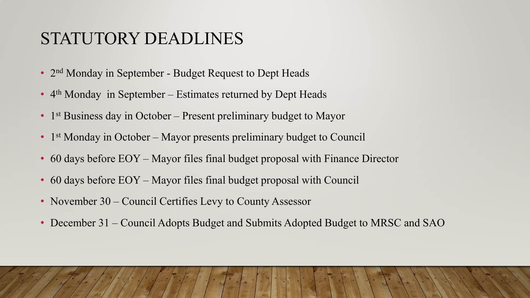### STATUTORY DEADLINES

- 2<sup>nd</sup> Monday in September Budget Request to Dept Heads
- 4<sup>th</sup> Monday in September Estimates returned by Dept Heads
- 1<sup>st</sup> Business day in October Present preliminary budget to Mayor
- 1<sup>st</sup> Monday in October Mayor presents preliminary budget to Council
- 60 days before EOY Mayor files final budget proposal with Finance Director
- 60 days before EOY Mayor files final budget proposal with Council
- November 30 Council Certifies Levy to County Assessor
- December 31 Council Adopts Budget and Submits Adopted Budget to MRSC and SAO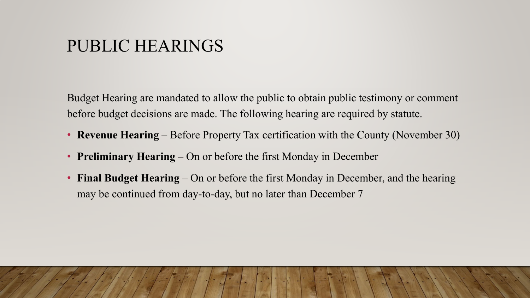### PUBLIC HEARINGS

Budget Hearing are mandated to allow the public to obtain public testimony or comment before budget decisions are made. The following hearing are required by statute.

- **Revenue Hearing** Before Property Tax certification with the County (November 30)
- **Preliminary Hearing** On or before the first Monday in December
- **Final Budget Hearing** On or before the first Monday in December, and the hearing may be continued from day-to-day, but no later than December 7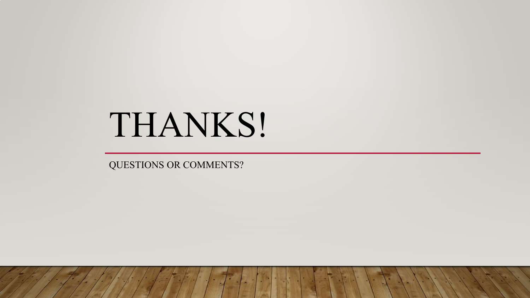# THANKS!

QUESTIONS OR COMMENTS?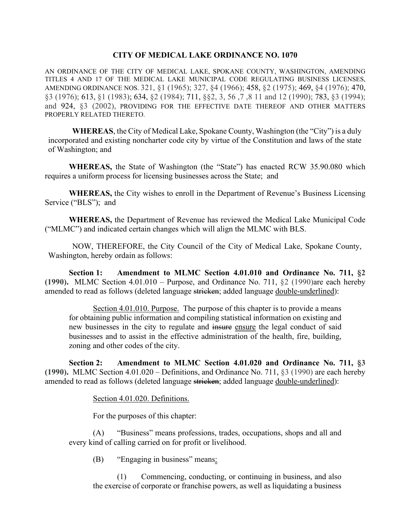#### **CITY OF MEDICAL LAKE ORDINANCE NO. 1070**

AN ORDINANCE OF THE CITY OF MEDICAL LAKE, SPOKANE COUNTY, WASHINGTON, AMENDING TITLES 4 AND 17 OF THE MEDICAL LAKE MUNICIPAL CODE REGULATING BUSINESS LICENSES, AMENDING ORDINANCE NOS. 321, §1 (1965); 327, §4 (1966); 458, §2 (1975); 469, §4 (1976); 470, §3 (1976); 613, §1 (1983); 634, §2 (1984); 711, §§2, 3, 56 ,7 ,8 11 and 12 (1990); 783, §3 (1994); and 924, §3 (2002), PROVIDING FOR THE EFFECTIVE DATE THEREOF AND OTHER MATTERS PROPERLY RELATED THERETO.

**WHEREAS**, the City of Medical Lake, Spokane County, Washington (the "City") is a duly incorporated and existing noncharter code city by virtue of the Constitution and laws of the state of Washington; and

**WHEREAS,** the State of Washington (the "State") has enacted RCW 35.90.080 which requires a uniform process for licensing businesses across the State; and

**WHEREAS,** the City wishes to enroll in the Department of Revenue's Business Licensing Service ("BLS"); and

**WHEREAS,** the Department of Revenue has reviewed the Medical Lake Municipal Code ("MLMC") and indicated certain changes which will align the MLMC with BLS.

NOW, THEREFORE, the City Council of the City of Medical Lake, Spokane County, Washington, hereby ordain as follows:

**Section 1: Amendment to MLMC Section 4.01.010 and Ordinance No. 711, §2 (1990).** MLMC Section 4.01.010 – Purpose, and Ordinance No. 711, §2 (1990)are each hereby amended to read as follows (deleted language stricken; added language double-underlined):

Section 4.01.010. Purpose. The purpose of this chapter is to provide a means for obtaining public information and compiling statistical information on existing and new businesses in the city to regulate and insure ensure the legal conduct of said businesses and to assist in the effective administration of the health, fire, building, zoning and other codes of the city.

**Section 2: Amendment to MLMC Section 4.01.020 and Ordinance No. 711, §3 (1990).** MLMC Section 4.01.020 – Definitions, and Ordinance No. 711, §3 (1990) are each hereby amended to read as follows (deleted language stricken; added language <u>double-underlined</u>):

Section 4.01.020. Definitions.

For the purposes of this chapter:

(A) "Business" means professions, trades, occupations, shops and all and every kind of calling carried on for profit or livelihood.

(B) "Engaging in business" means:

(1) Commencing, conducting, or continuing in business, and also the exercise of corporate or franchise powers, as well as liquidating a business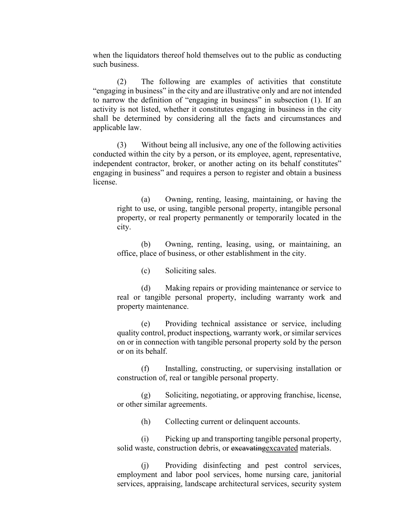when the liquidators thereof hold themselves out to the public as conducting such business.

(2) The following are examples of activities that constitute "engaging in business" in the city and are illustrative only and are not intended to narrow the definition of "engaging in business" in subsection (1). If an activity is not listed, whether it constitutes engaging in business in the city shall be determined by considering all the facts and circumstances and applicable law.

(3) Without being all inclusive, any one of the following activities conducted within the city by a person, or its employee, agent, representative, independent contractor, broker, or another acting on its behalf constitutes" engaging in business" and requires a person to register and obtain a business license.

(a) Owning, renting, leasing, maintaining, or having the right to use, or using, tangible personal property, intangible personal property, or real property permanently or temporarily located in the city.

(b) Owning, renting, leasing, using, or maintaining, an office, place of business, or other establishment in the city.

(c) Soliciting sales.

(d) Making repairs or providing maintenance or service to real or tangible personal property, including warranty work and property maintenance.

(e) Providing technical assistance or service, including quality control, product inspections, warranty work, or similar services on or in connection with tangible personal property sold by the person or on its behalf.

(f) Installing, constructing, or supervising installation or construction of, real or tangible personal property.

(g) Soliciting, negotiating, or approving franchise, license, or other similar agreements.

(h) Collecting current or delinquent accounts.

(i) Picking up and transporting tangible personal property, solid waste, construction debris, or excavating excavated materials.

(j) Providing disinfecting and pest control services, employment and labor pool services, home nursing care, janitorial services, appraising, landscape architectural services, security system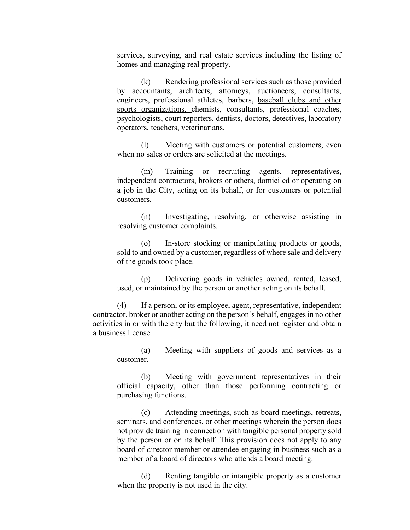services, surveying, and real estate services including the listing of homes and managing real property.

(k) Rendering professional services such as those provided by accountants, architects, attorneys, auctioneers, consultants, engineers, professional athletes, barbers, baseball clubs and other sports organizations, chemists, consultants, professional coaches, psychologists, court reporters, dentists, doctors, detectives, laboratory operators, teachers, veterinarians.

(l) Meeting with customers or potential customers, even when no sales or orders are solicited at the meetings.

(m) Training or recruiting agents, representatives, independent contractors, brokers or others, domiciled or operating on a job in the City, acting on its behalf, or for customers or potential customers.

(n) Investigating, resolving, or otherwise assisting in resolving customer complaints.

(o) In-store stocking or manipulating products or goods, sold to and owned by a customer, regardless of where sale and delivery of the goods took place.

(p) Delivering goods in vehicles owned, rented, leased, used, or maintained by the person or another acting on its behalf.

(4) If a person, or its employee, agent, representative, independent contractor, broker or another acting on the person's behalf, engages in no other activities in or with the city but the following, it need not register and obtain a business license.

(a) Meeting with suppliers of goods and services as a customer.

(b) Meeting with government representatives in their official capacity, other than those performing contracting or purchasing functions.

(c) Attending meetings, such as board meetings, retreats, seminars, and conferences, or other meetings wherein the person does not provide training in connection with tangible personal property sold by the person or on its behalf. This provision does not apply to any board of director member or attendee engaging in business such as a member of a board of directors who attends a board meeting.

(d) Renting tangible or intangible property as a customer when the property is not used in the city.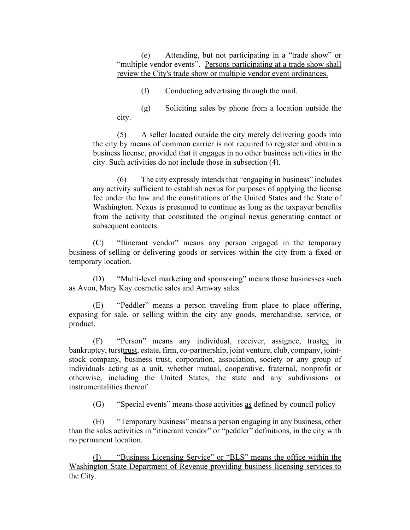(e) Attending, but not participating in a "trade show" or "multiple vendor events". Persons participating at a trade show shall review the City's trade show or multiple vendor event ordinances.

(f) Conducting advertising through the mail.

(g) Soliciting sales by phone from a location outside the city.

(5) A seller located outside the city merely delivering goods into the city by means of common carrier is not required to register and obtain a business license, provided that it engages in no other business activities in the city. Such activities do not include those in subsection (4).

(6) The city expressly intends that "engaging in business" includes any activity sufficient to establish nexus for purposes of applying the license fee under the law and the constitutions of the United States and the State of Washington. Nexus is presumed to continue as long as the taxpayer benefits from the activity that constituted the original nexus generating contact or subsequent contacts.

(C) "Itinerant vendor" means any person engaged in the temporary business of selling or delivering goods or services within the city from a fixed or temporary location.

(D) "Multi-level marketing and sponsoring" means those businesses such as Avon, Mary Kay cosmetic sales and Amway sales.

(E) "Peddler" means a person traveling from place to place offering, exposing for sale, or selling within the city any goods, merchandise, service, or product.

(F) "Person" means any individual, receiver, assignee, trustee in bankruptcy, tursttrust, estate, firm, co-partnership, joint venture, club, company, jointstock company, business trust, corporation, association, society or any group of individuals acting as a unit, whether mutual, cooperative, fraternal, nonprofit or otherwise, including the United States, the state and any subdivisions or instrumentalities thereof.

(G) "Special events" means those activities  $\frac{as}{s}$  defined by council policy

(H) "Temporary business" means a person engaging in any business, other than the sales activities in "itinerant vendor" or "peddler" definitions, in the city with no permanent location.

(I) "Business Licensing Service" or "BLS" means the office within the Washington State Department of Revenue providing business licensing services to the City.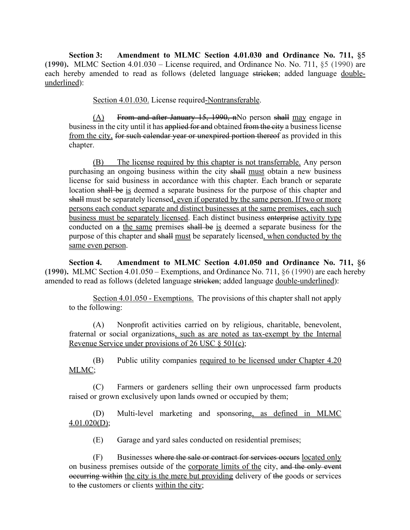**Section 3: Amendment to MLMC Section 4.01.030 and Ordinance No. 711, §5 (1990).** MLMC Section 4.01.030 – License required, and Ordinance No. No. 711, §5 (1990) are each hereby amended to read as follows (deleted language stricken; added language doubleunderlined):

Section 4.01.030. License required-Nontransferable.

(A) From and after January 15, 1990, nNo person shall may engage in business in the city until it has applied for and obtained from the city a business license from the city, for such calendar year or unexpired portion thereof as provided in this chapter.

(B) The license required by this chapter is not transferrable. Any person purchasing an ongoing business within the city shall must obtain a new business license for said business in accordance with this chapter. Each branch or separate location shall be is deemed a separate business for the purpose of this chapter and shall must be separately licensed, even if operated by the same person. If two or more persons each conduct separate and distinct businesses at the same premises, each such business must be separately licensed. Each distinct business enterprise activity type conducted on a the same premises shall be is deemed a separate business for the purpose of this chapter and shall must be separately licensed, when conducted by the same even person.

**Section 4. Amendment to MLMC Section 4.01.050 and Ordinance No. 711, §6 (1990).** MLMC Section 4.01.050 – Exemptions, and Ordinance No. 711, §6 (1990) are each hereby amended to read as follows (deleted language stricken; added language double-underlined):

Section 4.01.050 - Exemptions. The provisions of this chapter shall not apply to the following:

(A) Nonprofit activities carried on by religious, charitable, benevolent, fraternal or social organizations, such as are noted as tax-exempt by the Internal Revenue Service under provisions of 26 USC  $\S 501(c)$ ;

(B) Public utility companies required to be licensed under Chapter 4.20 MLMC;

(C) Farmers or gardeners selling their own unprocessed farm products raised or grown exclusively upon lands owned or occupied by them;

(D) Multi-level marketing and sponsoring, as defined in MLMC  $4.01.020(D);$ 

(E) Garage and yard sales conducted on residential premises;

(F) Businesses where the sale or contract for services occurs located only on business premises outside of the corporate limits of the city, and the only event occurring within the city is the mere but providing delivery of the goods or services to the customers or clients within the city;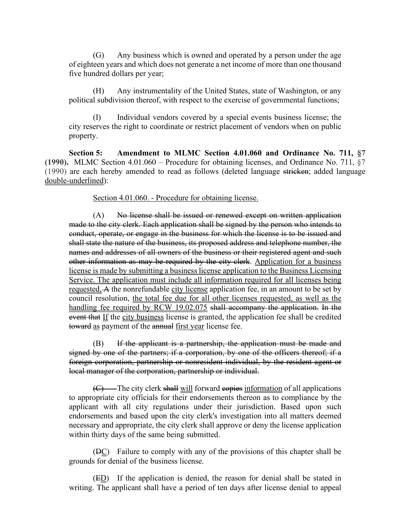(G) Any business which is owned and operated by a person under the age of eighteen years and which does not generate a net income of more than one thousand five hundred dollars per year;

(H) Any instrumentality of the United States, state of Washington, or any political subdivision thereof, with respect to the exercise of governmental functions;

(I) Individual vendors covered by a special events business license; the city reserves the right to coordinate or restrict placement of vendors when on public property.

**Section 5: Amendment to MLMC Section 4.01.060 and Ordinance No. 711, §7 (1990).** MLMC Section 4.01.060 – Procedure for obtaining licenses, and Ordinance No. 711, §7 (1990) are each hereby amended to read as follows (deleted language stricken; added language double-underlined):

Section 4.01.060. - Procedure for obtaining license.

(A) No license shall be issued or renewed except on written application made to the city clerk. Each application shall be signed by the person who intends to conduct, operate, or engage in the business for which the license is to be issued and shall state the nature of the business, its proposed address and telephone number, the names and addresses of all owners of the business or their registered agent and such other information as may be required by the city clerk. Application for a business license is made by submitting a business license application to the Business Licensing Service. The application must include all information required for all licenses being requested, A the nonrefundable city license application fee, in an amount to be set by council resolution, the total fee due for all other licenses requested, as well as the handling fee required by RCW 19.02.075 shall accompany the application. In the event that If the city business license is granted, the application fee shall be credited toward as payment of the annual first year license fee.

(B) If the applicant is a partnership, the application must be made and signed by one of the partners; if a corporation, by one of the officers thereof; if a foreign corporation, partnership or nonresident individual, by the resident agent or local manager of the corporation, partnership or individual.

(C) The city clerk shall will forward equipments information of all applications to appropriate city officials for their endorsements thereon as to compliance by the applicant with all city regulations under their jurisdiction. Based upon such endorsements and based upon the city clerk's investigation into all matters deemed necessary and appropriate, the city clerk shall approve or deny the license application within thirty days of the same being submitted.

 $(BC)$  Failure to comply with any of the provisions of this chapter shall be grounds for denial of the business license.

(ED) If the application is denied, the reason for denial shall be stated in writing. The applicant shall have a period of ten days after license denial to appeal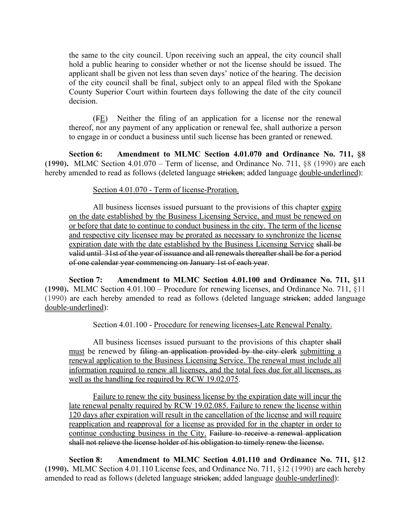the same to the city council. Upon receiving such an appeal, the city council shall hold a public hearing to consider whether or not the license should be issued. The applicant shall be given not less than seven days' notice of the hearing. The decision of the city council shall be final, subject only to an appeal filed with the Spokane County Superior Court within fourteen days following the date of the city council decision.

(FE) Neither the filing of an application for a license nor the renewal thereof, nor any payment of any application or renewal fee, shall authorize a person to engage in or conduct a business until such license has been granted or renewed.

**Section 6: Amendment to MLMC Section 4.01.070 and Ordinance No. 711, §8 (1990).** MLMC Section 4.01.070 – Term of license, and Ordinance No. 711, §8 (1990) are each hereby amended to read as follows (deleted language stricken; added language double-underlined):

#### Section 4.01.070 - Term of license-Proration.

All business licenses issued pursuant to the provisions of this chapter expire on the date established by the Business Licensing Service, and must be renewed on or before that date to continue to conduct business in the city. The term of the license and respective city licensee may be prorated as necessary to synchronize the license expiration date with the date established by the Business Licensing Service shall be valid until 31st of the year of issuance and all renewals thereafter shall be for a period of one calendar year commencing on January 1st of each year.

**Section 7: Amendment to MLMC Section 4.01.100 and Ordinance No. 711, §11 (1990).** MLMC Section 4.01.100 – Procedure for renewing licenses, and Ordinance No. 711, §11 (1990) are each hereby amended to read as follows (deleted language stricken; added language double-underlined):

Section 4.01.100 - Procedure for renewing licenses-Late Renewal Penalty.

All business licenses issued pursuant to the provisions of this chapter shall must be renewed by filing an application provided by the city clerk submitting a renewal application to the Business Licensing Service. The renewal must include all information required to renew all licenses, and the total fees due for all licenses, as well as the handling fee required by RCW 19.02.075.

Failure to renew the city business license by the expiration date will incur the late renewal penalty required by RCW 19.02.085. Failure to renew the license within 120 days after expiration will result in the cancellation of the license and will require reapplication and reapproval for a license as provided for in the chapter in order to continue conducting business in the City. Failure to receive a renewal application shall not relieve the license holder of his obligation to timely renew the license.

**Section 8: Amendment to MLMC Section 4.01.110 and Ordinance No. 711, §12 (1990).** MLMC Section 4.01.110 License fees, and Ordinance No. 711, §12 (1990) are each hereby amended to read as follows (deleted language stricken; added language double-underlined):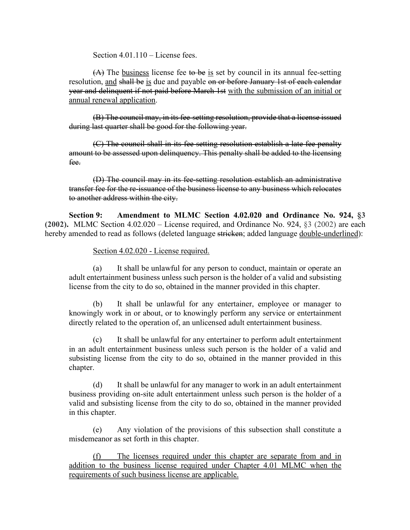Section 4.01.110 – License fees.

 $(A)$  The business license fee to be is set by council in its annual fee-setting resolution, and shall be is due and payable on or before January 1st of each calendar year and delinquent if not paid before March 1st with the submission of an initial or annual renewal application.

(B) The council may, in its fee-setting resolution, provide that a license issued during last quarter shall be good for the following year.

(C) The council shall in its fee-setting resolution establish a late fee penalty amount to be assessed upon delinquency. This penalty shall be added to the licensing fee.

(D) The council may in its fee-setting resolution establish an administrative transfer fee for the re-issuance of the business license to any business which relocates to another address within the city.

**Section 9: Amendment to MLMC Section 4.02.020 and Ordinance No. 924, §3 (2002).** MLMC Section 4.02.020 – License required, and Ordinance No. 924, §3 (2002) are each hereby amended to read as follows (deleted language stricken; added language double-underlined):

Section 4.02.020 - License required.

(a) It shall be unlawful for any person to conduct, maintain or operate an adult entertainment business unless such person is the holder of a valid and subsisting license from the city to do so, obtained in the manner provided in this chapter.

(b) It shall be unlawful for any entertainer, employee or manager to knowingly work in or about, or to knowingly perform any service or entertainment directly related to the operation of, an unlicensed adult entertainment business.

(c) It shall be unlawful for any entertainer to perform adult entertainment in an adult entertainment business unless such person is the holder of a valid and subsisting license from the city to do so, obtained in the manner provided in this chapter.

(d) It shall be unlawful for any manager to work in an adult entertainment business providing on-site adult entertainment unless such person is the holder of a valid and subsisting license from the city to do so, obtained in the manner provided in this chapter.

(e) Any violation of the provisions of this subsection shall constitute a misdemeanor as set forth in this chapter.

(f) The licenses required under this chapter are separate from and in addition to the business license required under Chapter 4.01 MLMC when the requirements of such business license are applicable.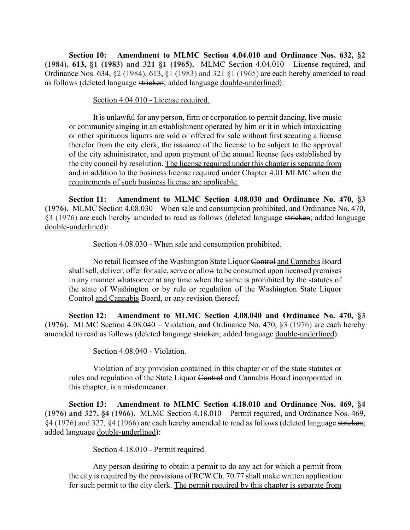**Section 10: Amendment to MLMC Section 4.04.010 and Ordinance Nos. 632, §2 (1984), 613, §1 (1983) and 321 §1 (1965).** MLMC Section 4.04.010 - License required, and Ordinance Nos. 634, §2 (1984), 613, §1 (1983) and 321 §1 (1965) are each hereby amended to read as follows (deleted language stricken; added language double-underlined):

#### Section 4.04.010 - License required.

It is unlawful for any person, firm or corporation to permit dancing, live music or community singing in an establishment operated by him or it in which intoxicating or other spirituous liquors are sold or offered for sale without first securing a license therefor from the city clerk, the issuance of the license to be subject to the approval of the city administrator, and upon payment of the annual license fees established by the city council by resolution. The license required under this chapter is separate from and in addition to the business license required under Chapter 4.01 MLMC when the requirements of such business license are applicable.

**Section 11: Amendment to MLMC Section 4.08.030 and Ordinance No. 470, §3 (1976).** MLMC Section 4.08.030 – When sale and consumption prohibited, and Ordinance No. 470, §3 (1976) are each hereby amended to read as follows (deleted language stricken; added language double-underlined):

#### Section 4.08.030 - When sale and consumption prohibited.

No retail licensee of the Washington State Liquor Control and Cannabis Board shall sell, deliver, offer for sale, serve or allow to be consumed upon licensed premises in any manner whatsoever at any time when the same is prohibited by the statutes of the state of Washington or by rule or regulation of the Washington State Liquor Control and Cannabis Board, or any revision thereof.

**Section 12: Amendment to MLMC Section 4.08.040 and Ordinance No. 470, §3 (1976).** MLMC Section 4.08.040 – Violation, and Ordinance No. 470, §3 (1976) are each hereby amended to read as follows (deleted language stricken; added language double-underlined):

#### Section 4.08.040 - Violation.

Violation of any provision contained in this chapter or of the state statutes or rules and regulation of the State Liquor Control and Cannabis Board incorporated in this chapter, is a misdemeanor.

**Section 13: Amendment to MLMC Section 4.18.010 and Ordinance Nos. 469, §4 (1976) and 327, §4 (1966).** MLMC Section 4.18.010 – Permit required, and Ordinance Nos. 469, §4 (1976) and 327, §4 (1966) are each hereby amended to read as follows (deleted language stricken; added language double-underlined):

#### Section 4.18.010 - Permit required.

Any person desiring to obtain a permit to do any act for which a permit from the city is required by the provisions of RCW Ch. 70.77 shall make written application for such permit to the city clerk. The permit required by this chapter is separate from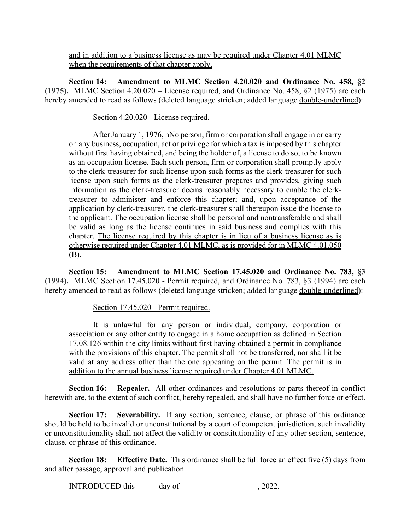and in addition to a business license as may be required under Chapter 4.01 MLMC when the requirements of that chapter apply.

**Section 14: Amendment to MLMC Section 4.20.020 and Ordinance No. 458, §2 (1975).** MLMC Section 4.20.020 – License required, and Ordinance No. 458, §2 (1975) are each hereby amended to read as follows (deleted language stricken; added language double-underlined):

Section 4.20.020 - License required.

After January 1, 1976,  $nN$ o person, firm or corporation shall engage in or carry on any business, occupation, act or privilege for which a tax is imposed by this chapter without first having obtained, and being the holder of, a license to do so, to be known as an occupation license. Each such person, firm or corporation shall promptly apply to the clerk-treasurer for such license upon such forms as the clerk-treasurer for such license upon such forms as the clerk-treasurer prepares and provides, giving such information as the clerk-treasurer deems reasonably necessary to enable the clerktreasurer to administer and enforce this chapter; and, upon acceptance of the application by clerk-treasurer, the clerk-treasurer shall thereupon issue the license to the applicant. The occupation license shall be personal and nontransferable and shall be valid as long as the license continues in said business and complies with this chapter. The license required by this chapter is in lieu of a business license as is otherwise required under Chapter 4.01 MLMC, as is provided for in MLMC 4.01.050 (B).

**Section 15: Amendment to MLMC Section 17.45.020 and Ordinance No. 783, §3 (1994).** MLMC Section 17.45.020 - Permit required, and Ordinance No. 783, §3 (1994) are each hereby amended to read as follows (deleted language stricken; added language double-underlined):

Section 17.45.020 - Permit required.

It is unlawful for any person or individual, company, corporation or association or any other entity to engage in a home occupation as defined in Section 17.08.126 within the city limits without first having obtained a permit in compliance with the provisions of this chapter. The permit shall not be transferred, nor shall it be valid at any address other than the one appearing on the permit. The permit is in addition to the annual business license required under Chapter 4.01 MLMC.

**Section 16:** Repealer. All other ordinances and resolutions or parts thereof in conflict herewith are, to the extent of such conflict, hereby repealed, and shall have no further force or effect.

**Section 17: Severability.** If any section, sentence, clause, or phrase of this ordinance should be held to be invalid or unconstitutional by a court of competent jurisdiction, such invalidity or unconstitutionality shall not affect the validity or constitutionality of any other section, sentence, clause, or phrase of this ordinance.

**Section 18:** Effective Date. This ordinance shall be full force an effect five (5) days from and after passage, approval and publication.

INTRODUCED this \_\_\_\_\_ day of \_\_\_\_\_\_\_\_\_\_\_\_\_\_\_\_\_, 2022.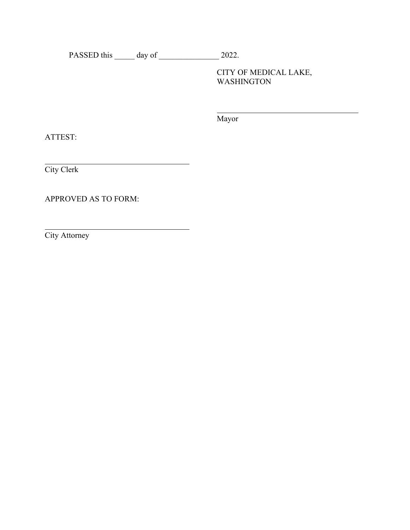PASSED this \_\_\_\_\_\_ day of \_\_\_\_\_\_\_\_\_\_\_\_\_\_\_\_\_\_\_ 2022.

<u> 1989 - Johann Stoff, deutscher Stoffen und der Stoffen und der Stoffen und der Stoffen und der Stoffen und d</u>

CITY OF MEDICAL LAKE, WASHINGTON

Mayor

ATTEST:

City Clerk

APPROVED AS TO FORM:

City Attorney